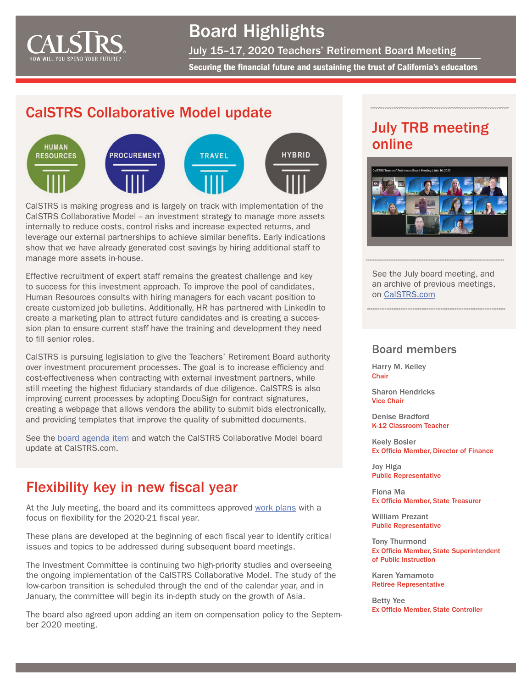

## Board Highlights

July 15–17, 2020 Teachers' Retirement Board Meeting

Securing the financial future and sustaining the trust of California's educators

#### CalSTRS Collaborative Model update



CalSTRS is making progress and is largely on track with implementation of the CalSTRS Collaborative Model - an investment strategy to manage more assets internally to reduce costs, control risks and increase expected returns, and leverage our external partnerships to achieve similar benefits. Early indications show that we have already generated cost savings by hiring additional staff to manage more assets in-house.

Effective recruitment of expert staff remains the greatest challenge and key to success for this investment approach. To improve the pool of candidates, Human Resources consults with hiring managers for each vacant position to create customized job bulletins. Additionally, HR has partnered with LinkedIn to create a marketing plan to attract future candidates and is creating a succession plan to ensure current staff have the training and development they need to fill senior roles.

CalSTRS is pursuing legislation to give the Teachers' Retirement Board authority over investment procurement processes. The goal is to increase efficiency and cost-effectiveness when contracting with external investment partners, while still meeting the highest fiduciary standards of due diligence. CalSTRS is also improving current processes by adopting DocuSign for contract signatures, creating a webpage that allows vendors the ability to submit bids electronically, and providing templates that improve the quality of submitted documents.

See the [board agenda item](https://resources.calstrs.com/publicdocs/Page/CalSTRSComWrapper.aspx?PageName=PublicBoardAgenda) and watch the CalSTRS Collaborative Model board update at CalSTRS.com.

## Flexibility key in new fiscal year

At the July meeting, the board and its committees approved [work plans](http://resources.calstrs.com/publicdocs/Page/CommonPage.aspx?PageName=DocumentDownload&Id=c4f790cc-18c3-49da-a7dc-b94b3b1de80d) with a focus on flexibility for the 2020-21 fiscal year.

These plans are developed at the beginning of each fiscal year to identify critical issues and topics to be addressed during subsequent board meetings.

The Investment Committee is continuing two high-priority studies and overseeing the ongoing implementation of the [CalSTRS Collaborative Model](https://www.calstrs.com/video/collaborative-model). The study of the low-carbon transition is scheduled through the end of the calendar year, and in January, the committee will begin its in-depth study on the growth of Asia.

The board also agreed upon adding an item on compensation policy to the September 2020 meeting.

## July TRB meeting online



See the July board meeting, and an archive of previous meetings, on [CalSTRS.com](https://www.calstrs.com/board-meeting-video-archive)

#### Board members

Harry M. Keiley **Chair** 

Sharon Hendricks Vice Chair

Denise Bradford K-12 Classroom Teacher

Keely Bosler Ex Officio Member, Director of Finance

Joy Higa Public Representative

Fiona Ma Ex Officio Member, State Treasurer

William Prezant Public Representative

Tony Thurmond Ex Officio Member, State Superintendent of Public Instruction

Karen Yamamoto Retiree Representative

Betty Yee Ex Officio Member, State Controller